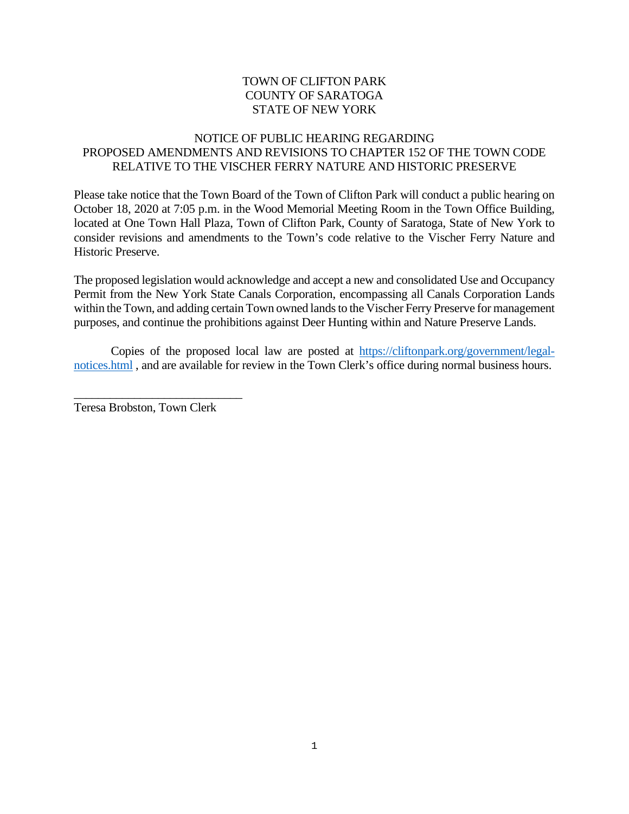## TOWN OF CLIFTON PARK COUNTY OF SARATOGA STATE OF NEW YORK

## NOTICE OF PUBLIC HEARING REGARDING PROPOSED AMENDMENTS AND REVISIONS TO CHAPTER 152 OF THE TOWN CODE RELATIVE TO THE VISCHER FERRY NATURE AND HISTORIC PRESERVE

Please take notice that the Town Board of the Town of Clifton Park will conduct a public hearing on October 18, 2020 at 7:05 p.m. in the Wood Memorial Meeting Room in the Town Office Building, located at One Town Hall Plaza, Town of Clifton Park, County of Saratoga, State of New York to consider revisions and amendments to the Town's code relative to the Vischer Ferry Nature and Historic Preserve.

The proposed legislation would acknowledge and accept a new and consolidated Use and Occupancy Permit from the New York State Canals Corporation, encompassing all Canals Corporation Lands within the Town, and adding certain Town owned lands to the Vischer Ferry Preserve for management purposes, and continue the prohibitions against Deer Hunting within and Nature Preserve Lands.

Copies of the proposed local law are posted at [https://cliftonpark.org/government/legal](https://cliftonpark.org/government/legal-notices.html)[notices.html](https://cliftonpark.org/government/legal-notices.html) , and are available for review in the Town Clerk's office during normal business hours.

Teresa Brobston, Town Clerk

\_\_\_\_\_\_\_\_\_\_\_\_\_\_\_\_\_\_\_\_\_\_\_\_\_\_\_\_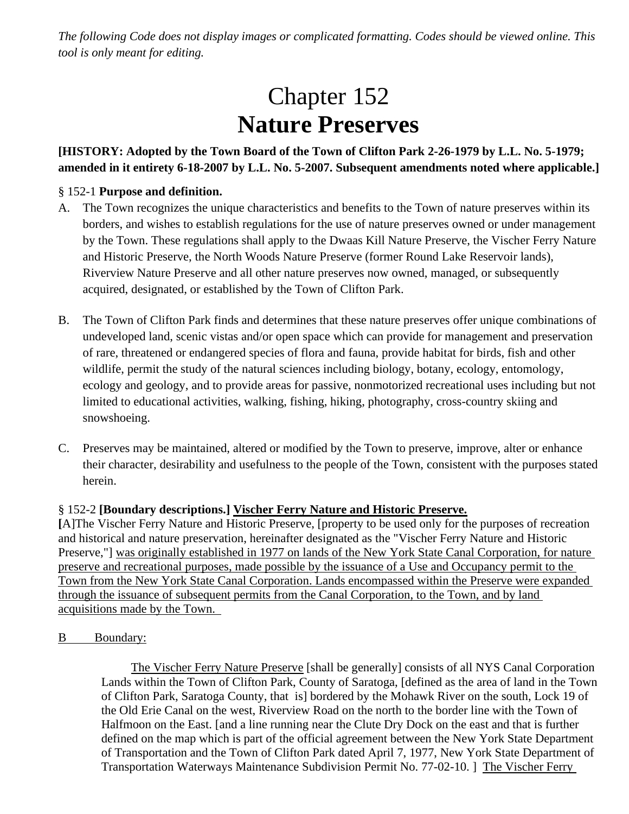*The following Code does not display images or complicated formatting. Codes should be viewed online. This tool is only meant for editing.*

# Chapter 152 **Nature Preserves**

# **[HISTORY: Adopted by the Town Board of the Town of Clifton Park 2-26-1979 by L.L. No. 5-1979; amended in it entirety 6-18-2007 by L.L. No. 5-2007. Subsequent amendments noted where applicable.]**

## § 152-1 **Purpose and definition.**

- A. The Town recognizes the unique characteristics and benefits to the Town of nature preserves within its borders, and wishes to establish regulations for the use of nature preserves owned or under management by the Town. These regulations shall apply to the Dwaas Kill Nature Preserve, the Vischer Ferry Nature and Historic Preserve, the North Woods Nature Preserve (former Round Lake Reservoir lands), Riverview Nature Preserve and all other nature preserves now owned, managed, or subsequently acquired, designated, or established by the Town of Clifton Park.
- B. The Town of Clifton Park finds and determines that these nature preserves offer unique combinations of undeveloped land, scenic vistas and/or open space which can provide for management and preservation of rare, threatened or endangered species of flora and fauna, provide habitat for birds, fish and other wildlife, permit the study of the natural sciences including biology, botany, ecology, entomology, ecology and geology, and to provide areas for passive, nonmotorized recreational uses including but not limited to educational activities, walking, fishing, hiking, photography, cross-country skiing and snowshoeing.
- C. Preserves may be maintained, altered or modified by the Town to preserve, improve, alter or enhance their character, desirability and usefulness to the people of the Town, consistent with the purposes stated herein.

## § 152-2 **[Boundary descriptions.] Vischer Ferry Nature and Historic Preserve.**

**[**A]The Vischer Ferry Nature and Historic Preserve, [property to be used only for the purposes of recreation and historical and nature preservation, hereinafter designated as the "Vischer Ferry Nature and Historic Preserve,"] was originally established in 1977 on lands of the New York State Canal Corporation, for nature preserve and recreational purposes, made possible by the issuance of a Use and Occupancy permit to the Town from the New York State Canal Corporation. Lands encompassed within the Preserve were expanded through the issuance of subsequent permits from the Canal Corporation, to the Town, and by land acquisitions made by the Town.

#### B Boundary:

The Vischer Ferry Nature Preserve [shall be generally] consists of all NYS Canal Corporation Lands within the Town of Clifton Park, County of Saratoga, [defined as the area of land in the Town of Clifton Park, Saratoga County, that is] bordered by the Mohawk River on the south, Lock 19 of the Old Erie Canal on the west, Riverview Road on the north to the border line with the Town of Halfmoon on the East. [and a line running near the Clute Dry Dock on the east and that is further defined on the map which is part of the official agreement between the New York State Department of Transportation and the Town of Clifton Park dated April 7, 1977, New York State Department of Transportation Waterways Maintenance Subdivision Permit No. 77-02-10. ] The Vischer Ferry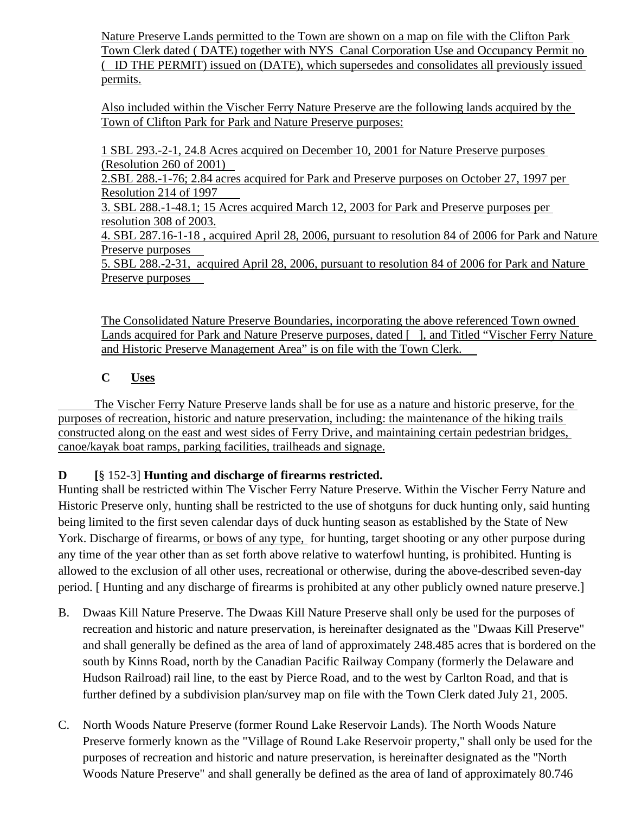Nature Preserve Lands permitted to the Town are shown on a map on file with the Clifton Park Town Clerk dated ( DATE) together with NYS Canal Corporation Use and Occupancy Permit no ( ID THE PERMIT) issued on (DATE), which supersedes and consolidates all previously issued permits.

Also included within the Vischer Ferry Nature Preserve are the following lands acquired by the Town of Clifton Park for Park and Nature Preserve purposes:

1 SBL 293.-2-1, 24.8 Acres acquired on December 10, 2001 for Nature Preserve purposes (Resolution 260 of 2001)

2.SBL 288.-1-76; 2.84 acres acquired for Park and Preserve purposes on October 27, 1997 per Resolution 214 of 1997

3. SBL 288.-1-48.1; 15 Acres acquired March 12, 2003 for Park and Preserve purposes per resolution 308 of 2003.

4. SBL 287.16-1-18 , acquired April 28, 2006, pursuant to resolution 84 of 2006 for Park and Nature Preserve purposes

5. SBL 288.-2-31, acquired April 28, 2006, pursuant to resolution 84 of 2006 for Park and Nature Preserve purposes

The Consolidated Nature Preserve Boundaries, incorporating the above referenced Town owned Lands acquired for Park and Nature Preserve purposes, dated [1], and Titled "Vischer Ferry Nature and Historic Preserve Management Area" is on file with the Town Clerk.

# **C Uses**

The Vischer Ferry Nature Preserve lands shall be for use as a nature and historic preserve, for the purposes of recreation, historic and nature preservation, including: the maintenance of the hiking trails constructed along on the east and west sides of Ferry Drive, and maintaining certain pedestrian bridges, canoe/kayak boat ramps, parking facilities, trailheads and signage.

# **D [**§ 152-3] **Hunting and discharge of firearms restricted.**

Hunting shall be restricted within The Vischer Ferry Nature Preserve. Within the Vischer Ferry Nature and Historic Preserve only, hunting shall be restricted to the use of shotguns for duck hunting only, said hunting being limited to the first seven calendar days of duck hunting season as established by the State of New York. Discharge of firearms, or bows of any type, for hunting, target shooting or any other purpose during any time of the year other than as set forth above relative to waterfowl hunting, is prohibited. Hunting is allowed to the exclusion of all other uses, recreational or otherwise, during the above-described seven-day period. [ Hunting and any discharge of firearms is prohibited at any other publicly owned nature preserve.]

- B. Dwaas Kill Nature Preserve. The Dwaas Kill Nature Preserve shall only be used for the purposes of recreation and historic and nature preservation, is hereinafter designated as the "Dwaas Kill Preserve" and shall generally be defined as the area of land of approximately 248.485 acres that is bordered on the south by Kinns Road, north by the Canadian Pacific Railway Company (formerly the Delaware and Hudson Railroad) rail line, to the east by Pierce Road, and to the west by Carlton Road, and that is further defined by a subdivision plan/survey map on file with the Town Clerk dated July 21, 2005.
- C. North Woods Nature Preserve (former Round Lake Reservoir Lands). The North Woods Nature Preserve formerly known as the "Village of Round Lake Reservoir property," shall only be used for the purposes of recreation and historic and nature preservation, is hereinafter designated as the "North Woods Nature Preserve" and shall generally be defined as the area of land of approximately 80.746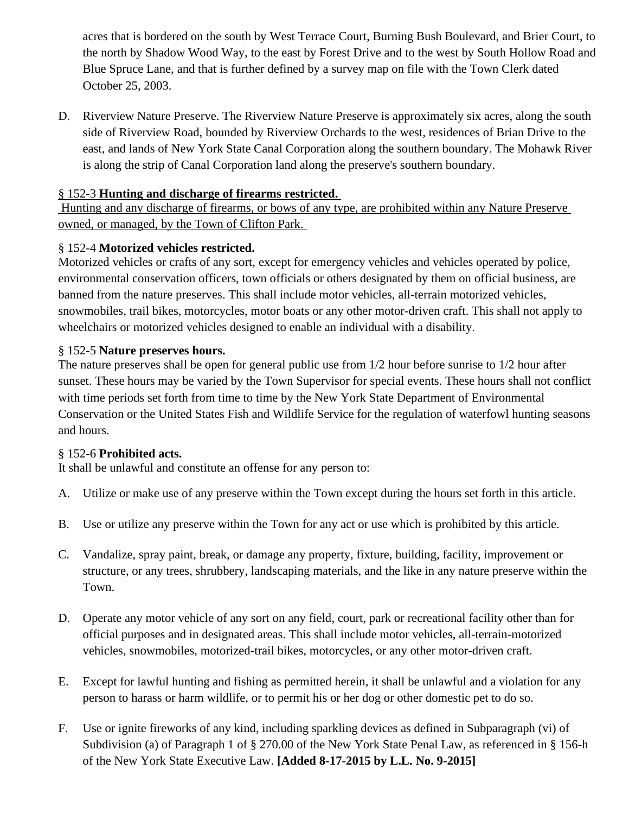acres that is bordered on the south by West Terrace Court, Burning Bush Boulevard, and Brier Court, to the north by Shadow Wood Way, to the east by Forest Drive and to the west by South Hollow Road and Blue Spruce Lane, and that is further defined by a survey map on file with the Town Clerk dated October 25, 2003.

D. Riverview Nature Preserve. The Riverview Nature Preserve is approximately six acres, along the south side of Riverview Road, bounded by Riverview Orchards to the west, residences of Brian Drive to the east, and lands of New York State Canal Corporation along the southern boundary. The Mohawk River is along the strip of Canal Corporation land along the preserve's southern boundary.

## § 152-3 **Hunting and discharge of firearms restricted.**

Hunting and any discharge of firearms, or bows of any type, are prohibited within any Nature Preserve owned, or managed, by the Town of Clifton Park.

# § 152-4 **Motorized vehicles restricted.**

Motorized vehicles or crafts of any sort, except for emergency vehicles and vehicles operated by police, environmental conservation officers, town officials or others designated by them on official business, are banned from the nature preserves. This shall include motor vehicles, all-terrain motorized vehicles, snowmobiles, trail bikes, motorcycles, motor boats or any other motor-driven craft. This shall not apply to wheelchairs or motorized vehicles designed to enable an individual with a disability.

## § 152-5 **Nature preserves hours.**

The nature preserves shall be open for general public use from 1/2 hour before sunrise to 1/2 hour after sunset. These hours may be varied by the Town Supervisor for special events. These hours shall not conflict with time periods set forth from time to time by the New York State Department of Environmental Conservation or the United States Fish and Wildlife Service for the regulation of waterfowl hunting seasons and hours.

## § 152-6 **Prohibited acts.**

It shall be unlawful and constitute an offense for any person to:

- A. Utilize or make use of any preserve within the Town except during the hours set forth in this article.
- B. Use or utilize any preserve within the Town for any act or use which is prohibited by this article.
- C. Vandalize, spray paint, break, or damage any property, fixture, building, facility, improvement or structure, or any trees, shrubbery, landscaping materials, and the like in any nature preserve within the Town.
- D. Operate any motor vehicle of any sort on any field, court, park or recreational facility other than for official purposes and in designated areas. This shall include motor vehicles, all-terrain-motorized vehicles, snowmobiles, motorized-trail bikes, motorcycles, or any other motor-driven craft.
- E. Except for lawful hunting and fishing as permitted herein, it shall be unlawful and a violation for any person to harass or harm wildlife, or to permit his or her dog or other domestic pet to do so.
- F. Use or ignite fireworks of any kind, including sparkling devices as defined in Subparagraph (vi) of Subdivision (a) of Paragraph 1 of § 270.00 of the New York State Penal Law, as referenced in § 156-h of the New York State Executive Law. **[Added 8-17-2015 by L.L. No. 9-2015]**